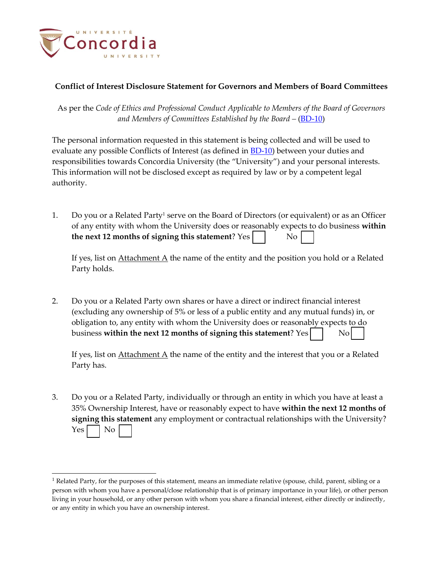

 $\overline{a}$ 

## **Conflict of Interest Disclosure Statement for Governors and Members of Board Committees**

As per the *Code of Ethics and Professional Conduct Applicable to Members of the Board of Governors and Members of Committees Established by the Board –* [\(BD-10\)](http://www.concordia.ca/content/dam/common/docs/policies/official-policies/BD-10.pdf)

The personal information requested in this statement is being collected and will be used to evaluate any possible Conflicts of Interest (as defined in **BD-10**) between your duties and responsibilities towards Concordia University (the "University") and your personal interests. This information will not be disclosed except as required by law or by a competent legal authority.

1. Do you or a Related Party<sup>1</sup> serve on the Board of Directors (or equivalent) or as an Officer of any entity with whom the University does or reasonably expects to do business **within the next 12 months of signing this statement**? Yes  $\vert$   $\vert$  No

If yes, list on  $Attention A$  the name of the entity and the position you hold or a Related</u> Party holds.

2. Do you or a Related Party own shares or have a direct or indirect financial interest (excluding any ownership of 5% or less of a public entity and any mutual funds) in, or obligation to, any entity with whom the University does or reasonably expects to do business within the next 12 months of signing this statement? Yes | | No

If yes, list on  $Attachment A$  the name of the entity and the interest that you or a Related</u> Party has.

3. Do you or a Related Party, individually or through an entity in which you have at least a 35% Ownership Interest, have or reasonably expect to have **within the next 12 months of signing this statement** any employment or contractual relationships with the University? Yes | No

 $1$  Related Party, for the purposes of this statement, means an immediate relative (spouse, child, parent, sibling or a person with whom you have a personal/close relationship that is of primary importance in your life), or other person living in your household, or any other person with whom you share a financial interest, either directly or indirectly, or any entity in which you have an ownership interest.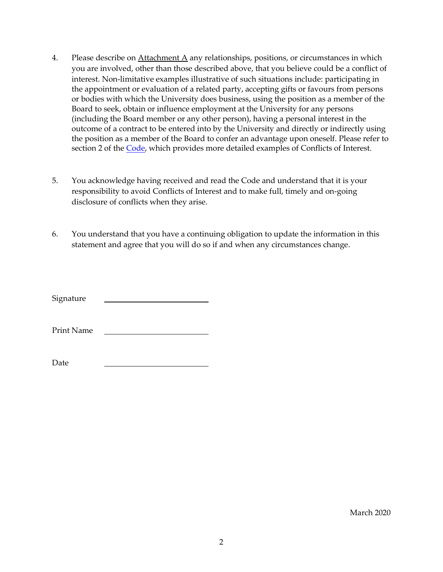- 4. Please describe on  $Attentionment A$  any relationships, positions, or circumstances in which</u> you are involved, other than those described above, that you believe could be a conflict of interest. Non-limitative examples illustrative of such situations include: participating in the appointment or evaluation of a related party, accepting gifts or favours from persons or bodies with which the University does business, using the position as a member of the Board to seek, obtain or influence employment at the University for any persons (including the Board member or any other person), having a personal interest in the outcome of a contract to be entered into by the University and directly or indirectly using the position as a member of the Board to confer an advantage upon oneself. Please refer to section 2 of the [Code,](http://www.concordia.ca/content/dam/common/docs/policies/official-policies/BD-10.pdf) which provides more detailed examples of Conflicts of Interest.
- 5. You acknowledge having received and read the Code and understand that it is your responsibility to avoid Conflicts of Interest and to make full, timely and on-going disclosure of conflicts when they arise.
- 6. You understand that you have a continuing obligation to update the information in this statement and agree that you will do so if and when any circumstances change.

Signature

Print Name

Date